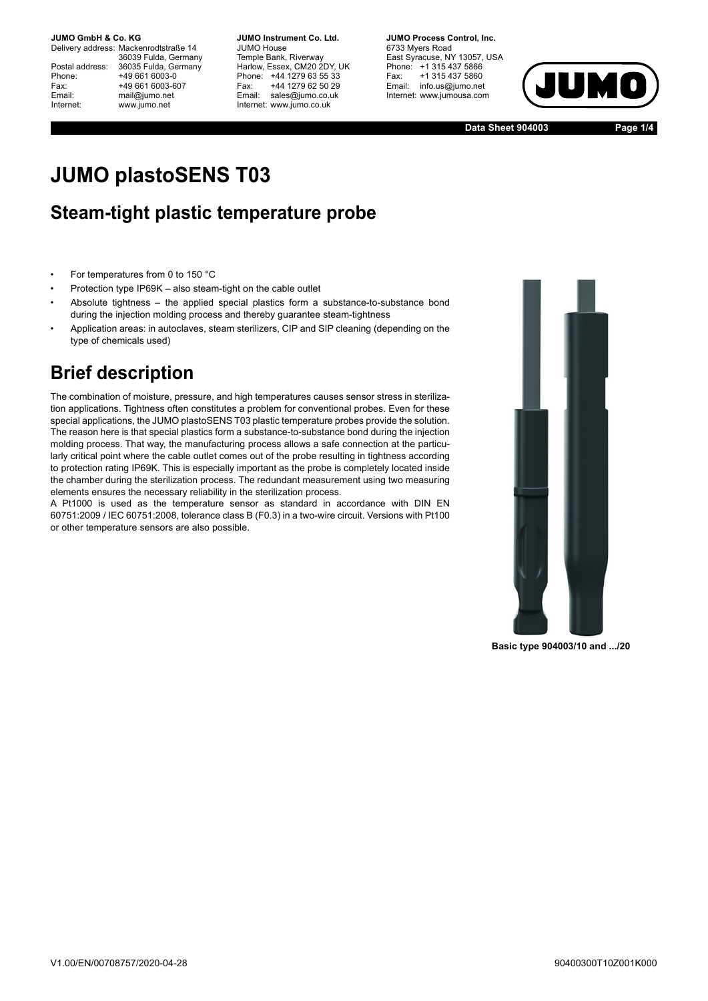#### **JUMO GmbH & Co. KG.**

Delivery address: Mackenrodtstraße 14 36039 Fulda, Germany Postal address: 36035 Fulda, Germany<br>Phone: +49 661 6003-0 Phone: +49 661 6003-0<br>Fax: +49 661 6003-6 Fax: +49 661 6003-607<br>
Fmail: mail@iumo.net mail@jumo.net Internet: www.jumo.net

**-BUMO Instrument Co. Ltd.** JUMO House Temple Bank, Riverway Harlow, Essex, CM20 2DY, UK Phone: +44 1279 63 55 33<br>Fax: +44 1279 62 50 29 +44 1279 62 50 29 Email: sales@jumo.co.uk Internet: www.jumo.co.uk

**-BURG Process Control Inc.** 6733 Myers Road East Syracuse, NY 13057, USA Phone: +1 315 437 5866<br>Fax: +1 315 437 5860 +1 315 437 5860 Email: info.us@jumo.net Internet: www.jumousa.com



**Data Sheet 904003 Page 1/4**

# **JUMO plastoSENS T03**

#### **Steam-tight plastic temperature probe**

- For temperatures from 0 to 150 °C
- Protection type IP69K also steam-tight on the cable outlet
- Absolute tightness the applied special plastics form a substance-to-substance bond during the injection molding process and thereby guarantee steam-tightness
- Application areas: in autoclaves, steam sterilizers, CIP and SIP cleaning (depending on the type of chemicals used)

### **Brief description**

The combination of moisture, pressure, and high temperatures causes sensor stress in sterilization applications. Tightness often constitutes a problem for conventional probes. Even for these special applications, the JUMO plastoSENS T03 plastic temperature probes provide the solution. The reason here is that special plastics form a substance-to-substance bond during the injection molding process. That way, the manufacturing process allows a safe connection at the particularly critical point where the cable outlet comes out of the probe resulting in tightness according to protection rating IP69K. This is especially important as the probe is completely located inside the chamber during the sterilization process. The redundant measurement using two measuring elements ensures the necessary reliability in the sterilization process.

A Pt1000 is used as the temperature sensor as standard in accordance with DIN EN 60751:2009 / IEC 60751:2008, tolerance class B (F0.3) in a two-wire circuit. Versions with Pt100 or other temperature sensors are also possible.



**Basic type 904003/10 and .../20**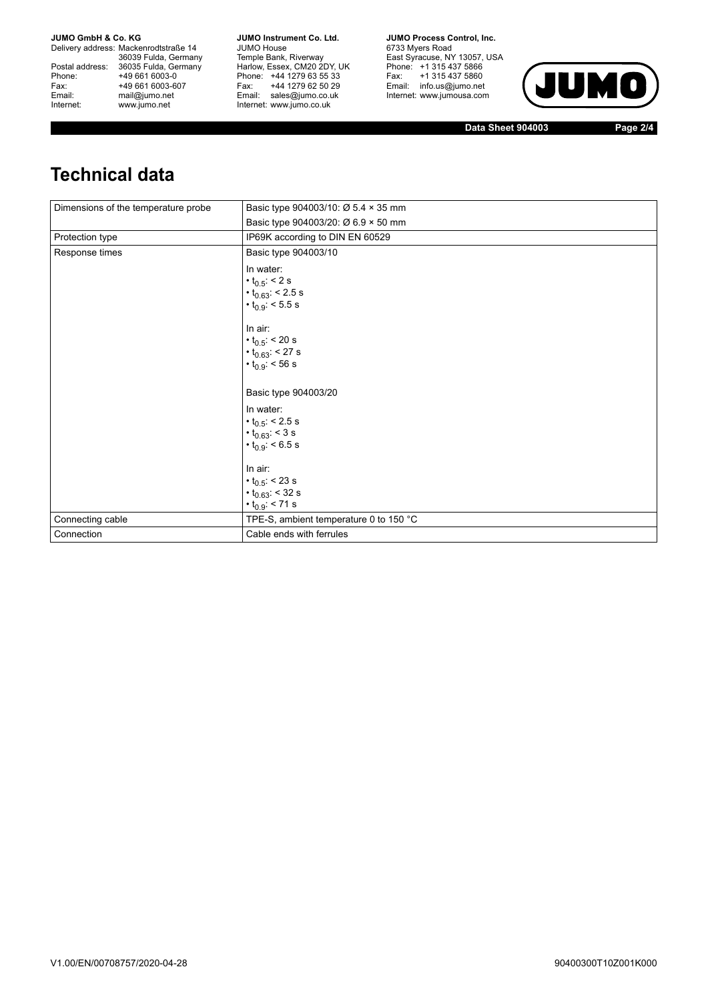**JUMO GmbH & Co. KG** 

Delivery address: Mackenrodtstraße 14 36039 Fulda, Germany<br>Postal address: 36035 Fulda, Germany Phone: +49 661 6003-0<br>
Fax: +49 661 6003-6<br>
Email: mail@jumo.net +49 661 6003-607 Email: mail@jumo.net<br>Internet: www.iumo.net www.jumo.net

**JUMO Instrument Co. Ltd.** JUMO House Temple Bank, Riverway<br>Harlow, Essex, CM20 2DY, UK Phone: +44 1279 63 55 33<br>Fax: +44 1279 62 50 29 Fax: +44 1279 62 50 29<br>Email: sales@jumo.co.uk Internet: www.jumo.co.uk

**JUMO Process Control. Inc.** 6733 Myers Road East Syracuse, NY 13057, USA<br>Phone: +1 315 437 5866<br>Fax: +1 315 437 5860 Email: info.us@jumo.net Internet: www.jumousa.com



**Data Sheet 904003 Page 2/4**

# **Technical data**

| Dimensions of the temperature probe | Basic type 904003/10: Ø 5.4 × 35 mm                                                                                                                                                                    |
|-------------------------------------|--------------------------------------------------------------------------------------------------------------------------------------------------------------------------------------------------------|
|                                     | Basic type 904003/20: Ø 6.9 × 50 mm                                                                                                                                                                    |
| Protection type                     | IP69K according to DIN EN 60529                                                                                                                                                                        |
| Response times                      | Basic type 904003/10                                                                                                                                                                                   |
|                                     | In water:<br>$\cdot t_{0.5}$ : < 2 s<br>$\cdot t_{0.63}$ < 2.5 s<br>$\cdot t_{0.9}$ : < 5.5 s<br>In air:<br>$\cdot$ t <sub>0.5</sub> : < 20 s<br>$\cdot t_{0.63}$ : < 27 s<br>$\cdot t_{0.9}$ : < 56 s |
|                                     | Basic type 904003/20                                                                                                                                                                                   |
|                                     | In water:<br>$\cdot t_{0.5}$ : < 2.5 s<br>$\cdot t_{0.63}$ : < 3 s<br>$\cdot t_{0.9}$ < 6.5 s                                                                                                          |
|                                     | In air:<br>$\cdot t_{0.5}$ : < 23 s<br>$\cdot t_{0.63}$ : < 32 s<br>$\cdot t_{0.9}$ : < 71 s                                                                                                           |
| Connecting cable                    | TPE-S, ambient temperature 0 to 150 °C                                                                                                                                                                 |
| Connection                          | Cable ends with ferrules                                                                                                                                                                               |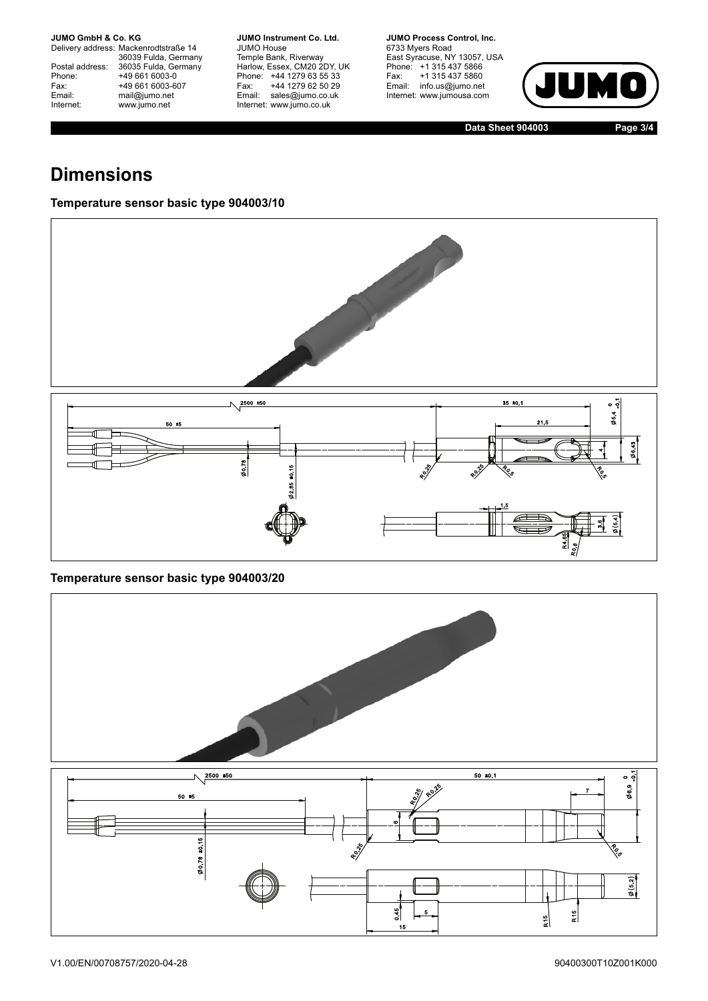**JUMO GmbH & Co. KG** 

Delivery address: Mackenrodtstraße 14 36039 Fulda, Germany<br>Postal address: 36035 Fulda, Germany Phone: +49 661 6003-0<br>
Fax: +49 661 6003-6<br>
Email: mail@jumo.net +49 661 6003-607 Email: mail@jumo.net<br>Internet: www.iumo.net www.jumo.net

**JUMO Instrument Co. Ltd.** JUMO House Temple Bank, Riverway<br>Harlow, Essex, CM20 2DY, UK Phone: +44 1279 63 55 33<br>Fax: +44 1279 62 50 29 +44 1279 62 50 29 Email: sales@jumo.co.uk Internet: www.jumo.co.uk

**JUMO Process Control, Inc.** 6733 Myers Road East Syracuse, NY 13057, USA<br>Phone: +1 315 437 5866<br>Fax: +1 315 437 5860 Email: info.us@jumo.net Internet: www.jumousa.com



**Data Sheet 904003 Page 3/4**

# **Dimensions**

#### **Temperature sensor basic type 904003/10**



#### **Temperature sensor basic type 904003/20**